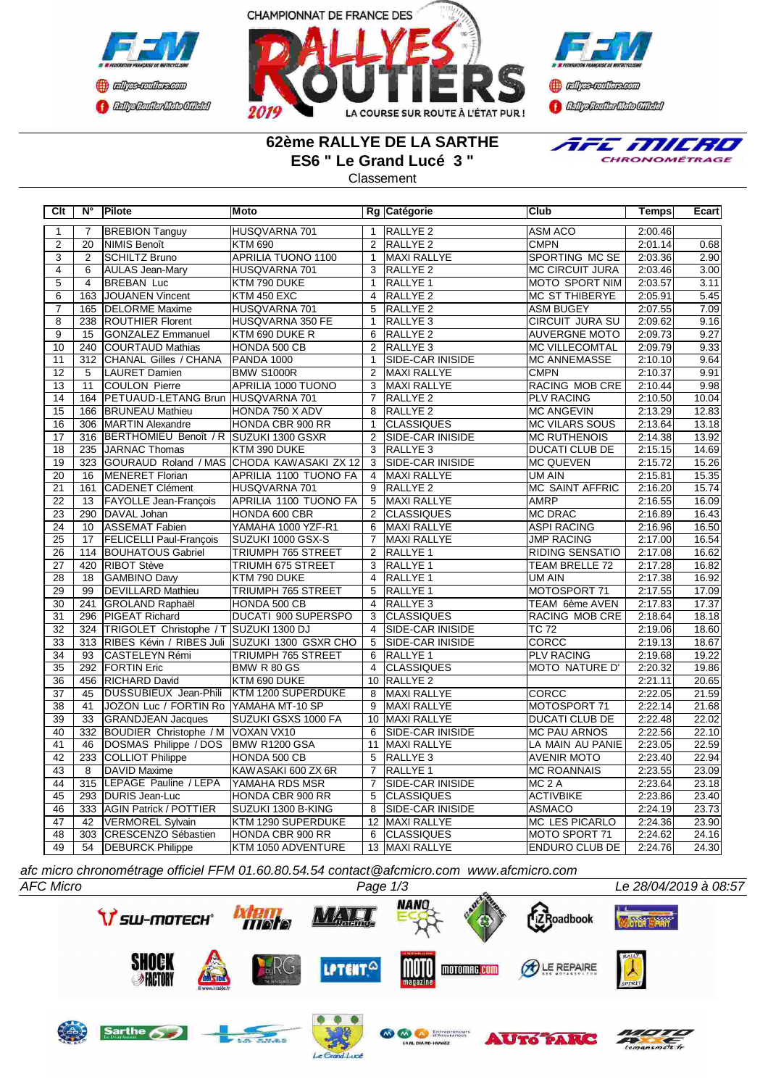



**B** refires renthas com **BEDplomerMoto Citeby** 

## **62ème RALLYE DE LA SARTHE ES6 " Le Grand Lucé 3 "**

**Classement** 



**Clt N° Pilote Moto Rg Catégorie Club Temps Ecart** RIFICAL TANGULAR IN THE SALLY RESERVED AND THUSQVARNA 701 1 RALLYE 2 ASM ACO 2:00.46 2 20 |NIMIS Benoît |KTM 690 | 2 |RALLYE 2 | CMPN | 2:01.14| 0.68 3 2 SCHILTZ Bruno APRILIA TUONO 1100 1 MAXI RALLYE SPORTING MC SE 2:03.36 2.90 4 6 AULAS Jean-Mary HUSQVARNA 701 3 RALLYE 2 MC CIRCUIT JURA 2:03.46 3.00 5 4 BREBAN Luc KTM 790 DUKE 1 RALLYE 1 MOTO SPORT NIM 2:03.57 3.11 6 163 JOUANEN Vincent KTM 450 EXC 4 RALLYE 2 MC ST THIBERYE 2:05.91 5.45 7 165 DELORME Maxime HUSQVARNA 701 5 RALLYE 2 ASM BUGEY 2:07.55 7.09 8 238 ROUTHIER Florent HUSQVARNA 350 FE 1 RALLYE 3 CIRCUIT JURA SU 2:09.62 9.16<br>9 15 GONZALEZ Emmanuel KTM 690 DUKE R 6 RALLYE 2 AUVERGNE MOTO 2:09.73 9.27 9 15 GONZALEZ Emmanuel KTM 690 DUKE R 6 RALLYE 2 AUVERGNE MOTO 2:09.73 9.27 10 240 COURTAUD Mathias HONDA 500 CB 2 RALLYE 3 MC VILLECOMTAL 2:09.79 9.33<br>11 312 CHANAL Gilles / CHANA PANDA 1000 1 SIDE-CAR INISIDE MC ANNEMASSE 2:10.10 9.64 11 312 CHANAL Gilles / CHANA 12 5 LAURET Damien BMW S1000R 2 MAXI RALLYE CMPN 2:10.37 9.91<br>13 11 COULON Pierre APRILIA 1000 TUONO 3 MAXI RALLYE RACING MOB CRE 2:10.44 9.98 13 11 COULON Pierre APRILIA 1000 TUONO 3 MAXI RALLYE RACING MOB CRE 2:10.44 14 164 PETUAUD-LETANG Brun HUSQVARNA 701 7 RALLYE 2 PLV RACING 2:10.50 10.04<br>15 166 BRUNEAU Mathieu HONDA 750 X ADV 8 RALLYE 2 MC ANGEVIN 2:13.29 12.83 15 166 BRUNEAU Mathieu HONDA 750 X ADV 8 RALLYE 2 MC ANGEVIN 2:13.29 12.83 16 306 MARTIN Alexandre HONDA CBR 900 RR 1 CLASSIQUES MC VILARS SOUS 2:13.64 13.18<br>17 316 BERTHOMIEU Benoît / R SUZUKI 1300 GSXR 2 SIDE-CAR INISIDE MC RUTHENOIS 2:14.38 13.92 17 316 BERTHOMIEU Benoît / R SUZUKI 1300 GSXR 2 SIDE-CAR INISIDE MC RUTHENOIS 2:14.38 13.92<br>18 235 JARNAC Thomas KTM 390 DUKE 3 RALLYE 3 DUCATI CLUB DE 2:15.15 14.69 18 235 JARNAC Thomas KTM 390 DUKE 3 RALLYE 3 RALLYE 3 DUCATI CLUB DE 2:15.15 19 323 GOURAUD Roland / MAS CHODA KAWASAKI ZX 12 3 SIDE-CAR INISIDE MC QUEVEN 2:15.72 15.26<br>20 16 MENERET Florian APRILIA 1100 TUONO FA 4 MAXI RALLYE UM AIN 2:15.81 15.35 20 16 MENERET Florian APRILIA 1100 TUONO FA 4 MAXI RALLYE UM AIN 2:15.81 15.35 21 161 CADENET Clément HUSQVARNA 701 9 RALLYE 2 MC SAINT AFFRIC 2:16.20 15.74<br>22 13 FAYOLLE Jean-François APRILIA 1100 TUONO FA 5 MAXI RALLYE AMRP 2:16.55 16.09 22 13 FAYOLLE Jean-François APRILIA 1100 TUONO FA 5 23 290 DAVAL Johan HONDA 600 CBR 2 CLASSIQUES MC DRAC 2:16.89 16.43<br>24 10 ASSEMAT Fabien YAMAHA 1000 YZF-R1 6 MAXI RALLYE ASPI RACING 2:16.96 16.50 24 | 10 | ASSEMAT Fabien | YAMAHA 1000 YZF-R1 | 6 | MAXI RALLYE | ASPI RACING | 2:16.96 | 16.50 25 17 FELICELLI Paul-François SUZUKI 1000 GSX-S 7 MAXI RALLYE JUMP RACING 2:17.00 16.54 114 BOUHATOUS Gabriel TRIUMPH 765 STREET 27 420 RIBOT Stève TRIUMH 675 STREET 3 RALLYE 1 TEAM BRELLE 72 2:17.28 16.82 28 18 GAMBINO Davy KTM 790 DUKE 4 RALLYE 1 UM AIN 2:17.38 16.92 29 99 DEVILLARD Mathieu TRIUMPH 765 STREET 5 RALLYE 1 MOTOSPORT 71 2:17.55 17.09<br>20 241 GROLAND Raphaël HONDA 500 CB 4 RALLYE 3 TEAM 6ème AVEN 2:17.83 17.37 30 241 GROLAND Raphaël HONDA 500 CB 4 RALLYE 3 TEAM 6ème AVEN 2:17.83 17.37 31 296 PIGEAT Richard DUCATI 900 SUPERSPO 3 CLASSIQUES RACING MOB CRE 2:18.64 18.18 32 324 TRIGOLET Christophe / T SUZUKI 1300 DJ 4 SIDE-CAR INISIDE TC 72 2:19.06 18.60<br>33 313 RIBES Kévin / RIBES Juli SUZUKI 1300 GSXR CHO 5 SIDE-CAR INISIDE CORCC 2:19.13 18.67 RIBES Kévin / RIBES Juli SUZUKI 1300 GSXR CHO 34 93 CASTELEYN Rémi TRIUMPH 765 STREET 6 RALLYE 1 PLV RACING 2:19.68 19.22<br>35 292 FORTIN Eric BMW R 80 GS 4 CLASSIQUES MOTO NATURE D' 2:20.32 19.86 35 292 FORTIN Eric BMW R 80 GS 4 CLASSIQUES MOTO NATURE D' 2:20.32 19.86 36 456 RICHARD David KTM 690 DUKE 10 RALLYE 2 2:21.11 20.65 37 15 DUSSUBIEUX Jean-Phili KTM 1200 SUPERDUKE 8 MAXI RALLYE CORCC CORCC CORCC CORCC 2:23.05 21.59 20.05 21.59 20.05 21.59 20.59 20.59 20.59 20.59 20.59 20.59 20.59 20.59 20.59 20.59 20.59 20.59 20.59 20.59 20.59 20.59 20. 38 41 JOZON Luc / FORTIN Ro YAMAHA MT-10 SP 9 MAXI RALLYE MOTOSPORT 71 2:22.14 21.68 39 33 GRANDJEAN Jacques SUZUKI GSXS 1000 FA 10 MAXI RALLYE DUCATI CLUB DE 2:22.48 22.02<br>40 332 BOUDIER Christophe / M VOXAN VX10 6 SIDE-CAR INISIDE MC PAU ARNOS 2:22.56 22.10 40 332 BOUDIER Christophe / M VOXAN VX10 6 SIDE-CAR INISIDE MC PAU ARNOS 2:22.56 22.10<br>41 46 DOSMAS Philippe / DOS BMW R1200 GSA 11 MAXI RALLYE LA MAIN AU PANIE 2:23.05 22.59 41 46 DOSMAS Philippe / DOS BMW R1200 GSA 11 MAXI RALLYE LA MAIN AU PANIE 42 233 COLLIOT Philippe | HONDA 500 CB | 5 RALLYE 3 | AVENIR MOTO | 2:23.40 22.94 43 8 DAVID Maxime KAWASAKI 600 ZX 6R 7 RALLYE 1 MC ROANNAIS 2:23.55 23.09 44 15 LEPAGE Pauline / LEPA YAMAHA RDS MSR 7 SIDE-CAR INISIDE MC 2 A 2:23.64 23.18<br>293 DURIS Jean-Luc HONDA CBR 900 RR 5 CLASSIQUES ACTIVBIKE 2:23.86 23.40 45 293 DURIS Jean-Luc HONDA CBR 900 RR 5 CLASSIQUES ACTIVBIKE 2:23.86 23.40<br>46 333 AGIN Patrick / POTTIER SUZUKI 1300 B-KING 8 SIDE-CAR INISIDE ASMACO 2:24.19 23.73 46 333 AGIN Patrick / POTTIER 47 42 VERMOREL Sylvain KTM 1290 SUPERDUKE 12 MAXI RALLYE MC LES PICARLO 2:24.36 23.90<br>48 303 CRESCENZO Sébastien HONDA CBR 900 RR 6 CLASSIQUES MOTO SPORT 71 2:24.62 24.16 48 303 CRESCENZO Sébastien HONDA CBR 900 RR 6 CLASSIQUES MOTO SPORT 71 2:24.62 49 54 DEBURCK Philippe KTM 1050 ADVENTURE 13 MAXI RALLYE ENDURO CLUB DE 2:24.76 24.30

*afc micro chronométrage officiel FFM 01.60.80.54.54 contact@afcmicro.com www.afcmicro.com*

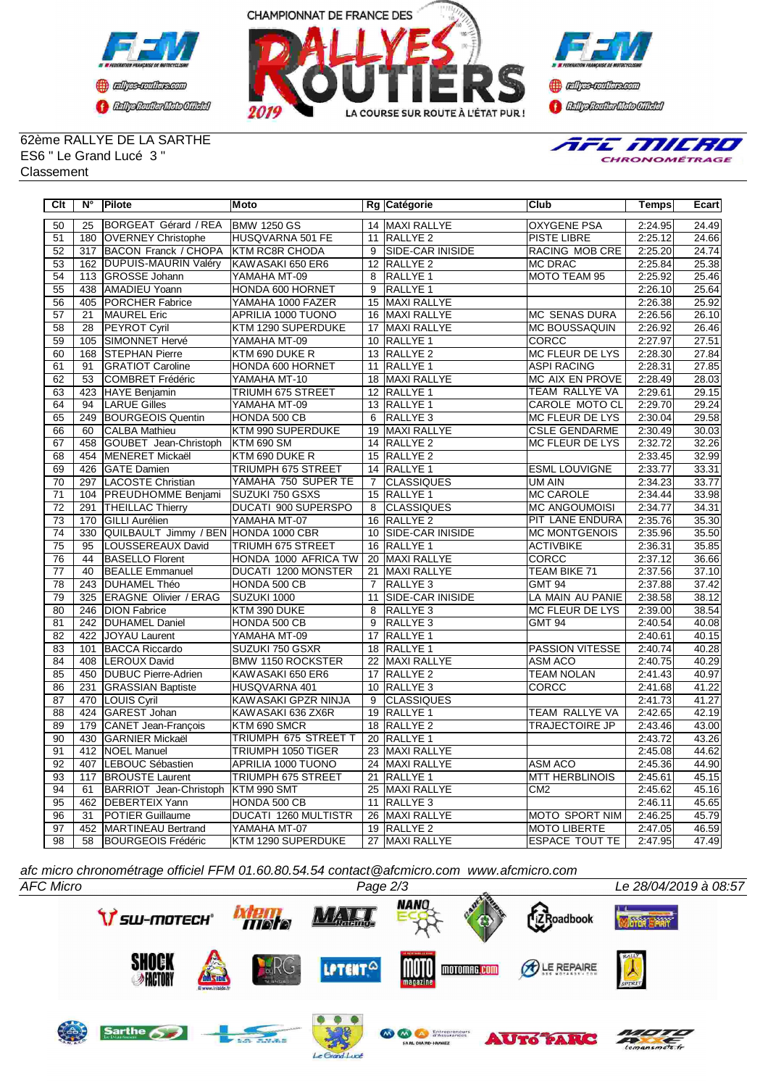



**Confederation CENTRAL MEDICATE** 

## 62ème RALLYE DE LA SARTHE ES6 " Le Grand Lucé 3 " Classement



| Clt             | $N^{\circ}$      | <b>Pilote</b>                        | <b>Moto</b>                 |                 | Rg Catégorie            | <b>Club</b>            | Temps   | Ecart |
|-----------------|------------------|--------------------------------------|-----------------------------|-----------------|-------------------------|------------------------|---------|-------|
| 50              | 25               | BORGEAT Gérard / REA                 | <b>BMW 1250 GS</b>          |                 | 14 MAXI RALLYE          | <b>OXYGENE PSA</b>     | 2:24.95 | 24.49 |
| 51              |                  | 180 OVERNEY Christophe               | HUSQVARNA 501 FE            | 11              | RALLYE <sub>2</sub>     | <b>PISTE LIBRE</b>     | 2:25.12 | 24.66 |
| 52              | 317              | BACON Franck / CHOPA                 | <b>KTM RC8R CHODA</b>       | $\overline{9}$  | <b>SIDE-CAR INISIDE</b> | <b>RACING MOB CRE</b>  | 2:25.20 | 24.74 |
| $\overline{53}$ | 162              | <b>DUPUIS-MAURIN Valéry</b>          | KAWASAKI 650 ER6            |                 | 12 RALLYE 2             | <b>MC DRAC</b>         | 2:25.84 | 25.38 |
| 54              | 113              | GROSSE Johann                        | YAMAHA MT-09                | 8               | <b>RALLYE 1</b>         | <b>MOTO TEAM 95</b>    | 2:25.92 | 25.46 |
| 55              | 438              | AMADIEU Yoann                        | HONDA 600 HORNET            | 9               | RALLYE <sub>1</sub>     |                        | 2:26.10 | 25.64 |
| 56              | 405              | PORCHER Fabrice                      | YAMAHA 1000 FAZER           | 15              | MAXI RALLYE             |                        | 2:26.38 | 25.92 |
| 57              | 21               | <b>MAUREL Eric</b>                   | APRILIA 1000 TUONO          | 16              | <b>MAXI RALLYE</b>      | <b>MC SENAS DURA</b>   | 2:26.56 | 26.10 |
| 58              | 28               | <b>PEYROT Cyril</b>                  | KTM 1290 SUPERDUKE          |                 | 17 MAXI RALLYE          | <b>MC BOUSSAQUIN</b>   | 2:26.92 | 26.46 |
| 59              | 105              | SIMONNET Hervé                       | YAMAHA MT-09                |                 | 10 RALLYE 1             | <b>CORCC</b>           | 2:27.97 | 27.51 |
| 60              | 168              | <b>STEPHAN Pierre</b>                | KTM 690 DUKE R              |                 | 13 RALLYE 2             | <b>MC FLEUR DE LYS</b> | 2:28.30 | 27.84 |
| 61              | 91               | <b>GRATIOT Caroline</b>              | HONDA 600 HORNET            | 11              | RALLYE <sub>1</sub>     | <b>ASPI RACING</b>     | 2:28.31 | 27.85 |
| 62              | 53               | COMBRET Frédéric                     | YAMAHA MT-10                |                 | 18 MAXI RALLYE          | MC AIX EN PROVE        | 2:28.49 | 28.03 |
| 63              | 423              | <b>HAYE Benjamin</b>                 | TRIUMH 675 STREET           |                 | 12 RALLYE 1             | TEAM RALLYE VA         | 2:29.61 | 29.15 |
| 64              | 94               | <b>LARUE Gilles</b>                  | YAMAHA MT-09                |                 | 13 RALLYE 1             | <b>CAROLE MOTO CL</b>  | 2:29.70 | 29.24 |
| 65              | 249              | <b>BOURGEOIS Quentin</b>             | HONDA 500 CB                | 6               | RALLYE <sub>3</sub>     | MC FLEUR DE LYS        | 2:30.04 | 29.58 |
| 66              | 60               | CALBA Mathieu                        | KTM 990 SUPERDUKE           | 19              | MAXI RALLYE             | <b>CSLE GENDARME</b>   | 2:30.49 | 30.03 |
| 67              | 458              | GOUBET Jean-Christoph                | <b>KTM 690 SM</b>           |                 | 14 RALLYE 2             | <b>MC FLEUR DE LYS</b> | 2:32.72 | 32.26 |
| $\overline{68}$ |                  | 454   MENERET Mickaël                | KTM 690 DUKE R              |                 | 15 RALLYE 2             |                        | 2:33.45 | 32.99 |
| 69              | 426              | <b>GATE</b> Damien                   | TRIUMPH 675 STREET          |                 | 14 RALLYE 1             | <b>ESML LOUVIGNE</b>   | 2:33.77 | 33.31 |
| $\overline{70}$ | 297              | LACOSTE Christian                    | YAMAHA 750 SUPER TE         | $\overline{7}$  | CLASSIQUES              | UM AIN                 | 2:34.23 | 33.77 |
| $\overline{71}$ |                  | 104 PREUDHOMME Benjami               | SUZUKI 750 GSXS             |                 | 15 RALLYE 1             | <b>MC CAROLE</b>       | 2:34.44 | 33.98 |
| $\overline{72}$ | 291              | <b>THEILLAC Thierry</b>              | <b>DUCATI 900 SUPERSPO</b>  | 8               | <b>CLASSIQUES</b>       | MC ANGOUMOISI          | 2:34.77 | 34.31 |
| 73              | 170              | <b>GILLI Aurélien</b>                | YAMAHA MT-07                |                 | 16 RALLYE 2             | PIT LANE ENDURA        | 2:35.76 | 35.30 |
| $\overline{74}$ | 330              | QUILBAULT Jimmy / BEN HONDA 1000 CBR |                             | 10              | SIDE-CAR INISIDE        | <b>MC MONTGENOIS</b>   | 2:35.96 | 35.50 |
| 75              | 95               | LOUSSEREAUX David                    | TRIUMH 675 STREET           | 16              | RALLYE <sub>1</sub>     | <b>ACTIVBIKE</b>       | 2:36.31 | 35.85 |
| 76              | 44               | <b>BASELLO Florent</b>               | HONDA 1000 AFRICA TW        | $\overline{20}$ | MAXI RALLYE             | <b>CORCC</b>           | 2:37.12 | 36.66 |
| 77              | 40               | <b>BEALLE Emmanuel</b>               | <b>DUCATI 1200 MONSTER</b>  | 21              | <b>MAXI RALLYE</b>      | <b>TEAM BIKE 71</b>    | 2:37.56 | 37.10 |
| 78              | 243              | <b>DUHAMEL Théo</b>                  | HONDA 500 CB                | $\overline{7}$  | RALLYE <sub>3</sub>     | <b>GMT 94</b>          | 2:37.88 | 37.42 |
| 79              | 325              | <b>ERAGNE Olivier / ERAG</b>         | SUZUKI 1000                 | 11              | <b>SIDE-CAR INISIDE</b> | LA MAIN AU PANIE       | 2:38.58 | 38.12 |
| 80              | $\overline{246}$ | <b>DION Fabrice</b>                  | KTM 390 DUKE                | 8               | RALLYE <sub>3</sub>     | MC FLEUR DE LYS        | 2:39.00 | 38.54 |
| $\overline{81}$ | 242              | <b>DUHAMEL Daniel</b>                | HONDA 500 CB                | 9               | RALLYE <sub>3</sub>     | <b>GMT 94</b>          | 2:40.54 | 40.08 |
| 82              | 422              | JOYAU Laurent                        | YAMAHA MT-09                | 17              | RALLYE <sub>1</sub>     |                        | 2:40.61 | 40.15 |
| 83              | 101              | <b>BACCA Riccardo</b>                | SUZUKI 750 GSXR             |                 | 18 RALLYE 1             | <b>PASSION VITESSE</b> | 2:40.74 | 40.28 |
| 84              | 408              | <b>LEROUX David</b>                  | <b>BMW 1150 ROCKSTER</b>    | 22              | MAXI RALLYE             | ASM ACO                | 2:40.75 | 40.29 |
| 85              | 450              | DUBUC Pierre-Adrien                  | KAWASAKI 650 ER6            | 17              | RALLYE <sub>2</sub>     | <b>TEAM NOLAN</b>      | 2:41.43 | 40.97 |
| 86              | 231              | <b>GRASSIAN Baptiste</b>             | HUSQVARNA 401               |                 | 10 RALLYE 3             | CORCC                  | 2:41.68 | 41.22 |
| 87              | 470              | LOUIS Cyril                          | KAWASAKI GPZR NINJA         | $\overline{9}$  | <b>CLASSIQUES</b>       |                        | 2:41.73 | 41.27 |
| 88              | 424              | GAREST Johan                         | KAWASAKI 636 ZX6R           |                 | 19 RALLYE 1             | <b>TEAM RALLYE VA</b>  | 2:42.65 | 42.19 |
| 89              | 179              | CANET Jean-François                  | KTM 690 SMCR                |                 | 18 RALLYE 2             | <b>TRAJECTOIRE JP</b>  | 2:43.46 | 43.00 |
| 90              | 430              | <b>GARNIER Mickaël</b>               | TRIUMPH 675 STREET T        |                 | 20 RALLYE 1             |                        | 2:43.72 | 43.26 |
| $\overline{91}$ | $\overline{412}$ | <b>NOEL Manuel</b>                   | TRIUMPH 1050 TIGER          |                 | 23 MAXI RALLYE          |                        | 2:45.08 | 44.62 |
| 92              | 407              | LEBOUC Sébastien                     | APRILIA 1000 TUONO          |                 | 24 MAXI RALLYE          | <b>ASM ACO</b>         | 2:45.36 | 44.90 |
| 93              | 117              | <b>BROUSTE Laurent</b>               | TRIUMPH 675 STREET          | 21              | <b>RALLYE 1</b>         | <b>MTT HERBLINOIS</b>  | 2:45.61 | 45.15 |
| 94              | 61               | BARRIOT Jean-Christoph               | KTM 990 SMT                 | 25              | <b>MAXI RALLYE</b>      | CM <sub>2</sub>        | 2:45.62 | 45.16 |
| 95              | 462              | <b>DEBERTEIX</b> Yann                | HONDA 500 CB                | 11              | RALLYE <sub>3</sub>     |                        | 2:46.11 | 45.65 |
| 96              | 31               | POTIER Guillaume                     | <b>DUCATI 1260 MULTISTR</b> | 26              | MAXI RALLYE             | <b>MOTO SPORT NIM</b>  | 2:46.25 | 45.79 |
| 97              | 452              | MARTINEAU Bertrand                   | YAMAHA MT-07                |                 | 19 RALLYE 2             | <b>MOTO LIBERTE</b>    | 2:47.05 | 46.59 |
| 98              | 58               | BOURGEOIS Frédéric                   | KTM 1290 SUPERDUKE          |                 | 27 MAXI RALLYE          | <b>ESPACE TOUT TE</b>  | 2:47.95 | 47.49 |

*afc micro chronométrage officiel FFM 01.60.80.54.54 contact@afcmicro.com www.afcmicro.com*



 $d$ *Luce*